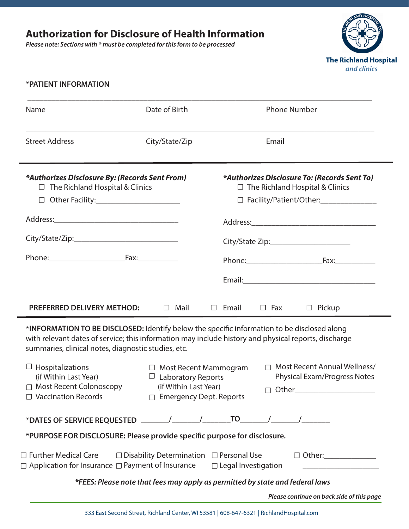*Please note: Sections with \* must be completed for this form to be processed*



#### **\*PATIENT INFORMATION**

÷

| Name                                                                                                                                                                                                                                                       | Date of Birth                                                                                                                                                                                             | <b>Phone Number</b>     |                                                                                                                                                     |  |
|------------------------------------------------------------------------------------------------------------------------------------------------------------------------------------------------------------------------------------------------------------|-----------------------------------------------------------------------------------------------------------------------------------------------------------------------------------------------------------|-------------------------|-----------------------------------------------------------------------------------------------------------------------------------------------------|--|
| <b>Street Address</b>                                                                                                                                                                                                                                      | City/State/Zip                                                                                                                                                                                            | Email                   |                                                                                                                                                     |  |
| *Authorizes Disclosure By: (Records Sent From)<br>$\Box$ The Richland Hospital & Clinics<br>$\Box$ Other Facility:<br>Phone: Fax: Fax:                                                                                                                     |                                                                                                                                                                                                           |                         | *Authorizes Disclosure To: (Records Sent To)<br>$\Box$ The Richland Hospital & Clinics<br>City/State Zip:______________________<br>Phone: Fax: Fax: |  |
| <b>PREFERRED DELIVERY METHOD:</b>                                                                                                                                                                                                                          | $\Box$ Mail                                                                                                                                                                                               | $\Box$ Email $\Box$ Fax | $\Box$ Pickup                                                                                                                                       |  |
| *INFORMATION TO BE DISCLOSED: Identify below the specific information to be disclosed along<br>with relevant dates of service; this information may include history and physical reports, discharge<br>summaries, clinical notes, diagnostic studies, etc. |                                                                                                                                                                                                           |                         |                                                                                                                                                     |  |
| $\Box$ Hospitalizations<br>(if Within Last Year)<br>□ Most Recent Colonoscopy<br>$\Box$ Vaccination Records                                                                                                                                                | Most Recent Annual Wellness/<br>□ Most Recent Mammogram<br>П<br><b>Physical Exam/Progress Notes</b><br>$\Box$ Laboratory Reports<br>(if Within Last Year)<br>Other<br>$\Box$<br>□ Emergency Dept. Reports |                         |                                                                                                                                                     |  |
|                                                                                                                                                                                                                                                            |                                                                                                                                                                                                           |                         |                                                                                                                                                     |  |
| *PURPOSE FOR DISCLOSURE: Please provide specific purpose for disclosure.                                                                                                                                                                                   |                                                                                                                                                                                                           |                         |                                                                                                                                                     |  |
| $\Box$ Further Medical Care $\Box$ Disability Determination $\Box$ Personal Use<br>$\Box$ Other:<br>$\Box$ Application for Insurance $\Box$ Payment of Insurance<br>$\Box$ Legal Investigation                                                             |                                                                                                                                                                                                           |                         |                                                                                                                                                     |  |
| *FEES: Please note that fees may apply as permitted by state and federal laws                                                                                                                                                                              |                                                                                                                                                                                                           |                         |                                                                                                                                                     |  |
|                                                                                                                                                                                                                                                            |                                                                                                                                                                                                           |                         | Please continue on back side of this page                                                                                                           |  |